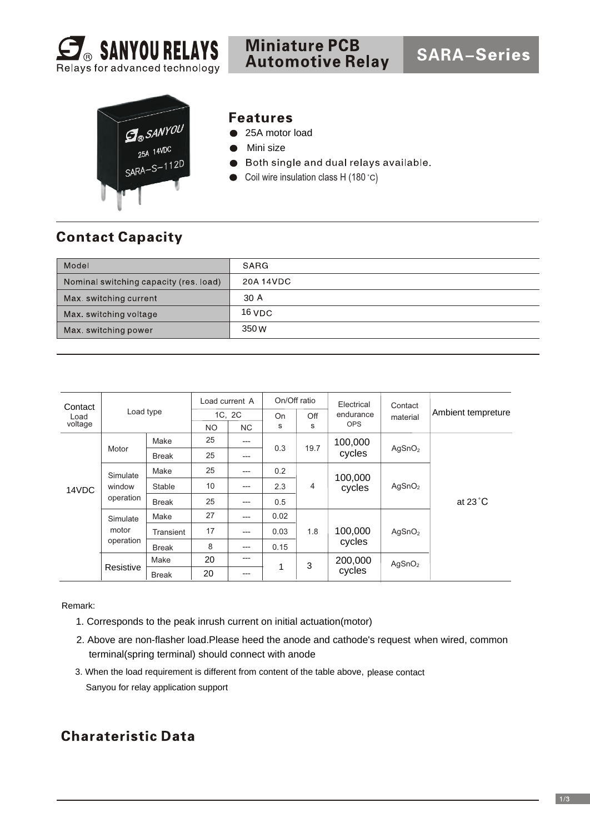



#### **Features**

- 25A motor load
- Mini size
- Both single and dual relays available.
- Coil wire insulation class H (180 $^{\circ}$ C)  $\bullet$

## **Contact Capacity**

| Model                                  | SARG      |
|----------------------------------------|-----------|
| Nominal switching capacity (res. load) | 20A 14VDC |
| Max. switching current                 | 30A       |
| Max. switching voltage                 | $16$ VDC  |
| Max. switching power                   | 350 W     |

| Contact         | Load type                       |              | Load current A |           | On/Off ratio |      | Electrical        | Contact            |                    |  |
|-----------------|---------------------------------|--------------|----------------|-----------|--------------|------|-------------------|--------------------|--------------------|--|
| Load<br>voltage |                                 |              | 1C. 2C         |           | On           | Off  | endurance         | material           | Ambient tempreture |  |
|                 |                                 |              | <b>NO</b>      | <b>NC</b> | s            | S    | <b>OPS</b>        |                    |                    |  |
| 14VDC           | Motor                           | Make         | 25             | $---$     | 0.3          | 19.7 | 100,000<br>cycles | AgSnO <sub>2</sub> | at $23^{\circ}$ C  |  |
|                 |                                 | <b>Break</b> | 25             | $---$     |              |      |                   |                    |                    |  |
|                 | Simulate<br>window<br>operation | Make         | 25             | $---$     | 0.2          |      | 100,000<br>cycles | AgSnO <sub>2</sub> |                    |  |
|                 |                                 | Stable       | 10             | $---$     | 2.3          | 4    |                   |                    |                    |  |
|                 |                                 | <b>Break</b> | 25             | $---$     | 0.5          |      |                   |                    |                    |  |
|                 | Simulate<br>motor<br>operation  | Make         | 27             | $---$     | 0.02         |      |                   | AgSnO <sub>2</sub> |                    |  |
|                 |                                 | Transient    | 17             | $---$     | 0.03         | 1.8  | 100,000<br>cycles |                    |                    |  |
|                 |                                 | <b>Break</b> | 8              | $---$     | 0.15         |      |                   |                    |                    |  |
|                 |                                 | Make         | 20             | $---$     |              | 3    | 200,000<br>cycles | AgSnO <sub>2</sub> |                    |  |
|                 | Resistive                       | <b>Break</b> | 20             | $---$     | 1            |      |                   |                    |                    |  |

Remark:

- 1. Corresponds to the peak inrush current on initial actuation(motor)
- 2. Above are non-flasher load.Please heed the anode and cathode's request when wired, common terminal(spring terminal) should connect with anode
- 3. When the load requirement is different from content of the table above, please contact Sanyou for relay application support

#### **Charateristic Data**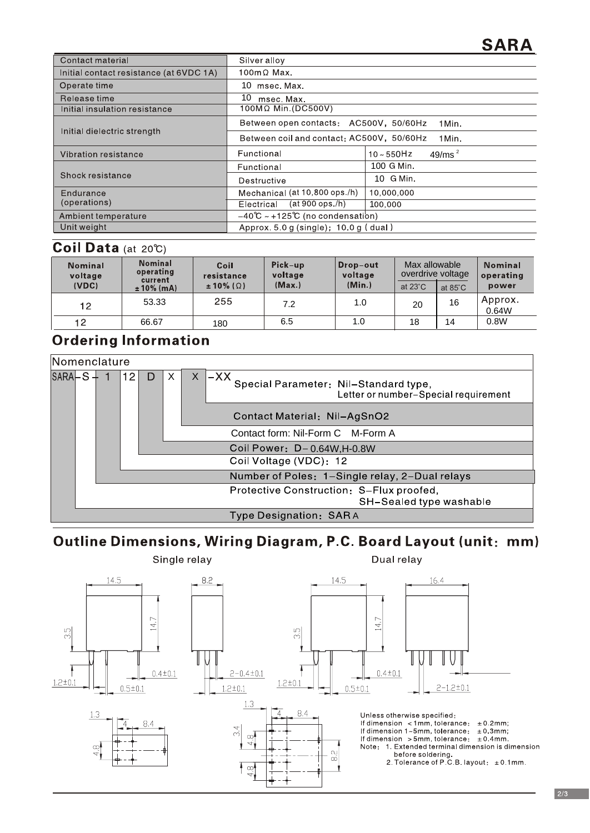# **SARA**

| Contact material                        | Silver alloy                                        |                             |  |  |  |
|-----------------------------------------|-----------------------------------------------------|-----------------------------|--|--|--|
| Initial contact resistance (at 6VDC 1A) | $100 \text{m} \Omega$ Max.                          |                             |  |  |  |
| Operate time                            | 10 msec Max                                         |                             |  |  |  |
| Release time                            | 10.<br>msec. Max.                                   |                             |  |  |  |
| Initial insulation resistance           | 100MΩ Min. (DC500V)                                 |                             |  |  |  |
| Initial dielectric strength             | Between open contacts: AC500V, 50/60Hz<br>1 Min.    |                             |  |  |  |
|                                         | Between coil and contact: AC500V, 50/60Hz<br>1 Min. |                             |  |  |  |
| Vibration resistance                    | Functional                                          | 49/ms $^2$<br>$10 - 550$ Hz |  |  |  |
|                                         | Functional                                          | 100 G Min.                  |  |  |  |
| Shock resistance                        | Destructive                                         | 10 G Min.                   |  |  |  |
| Endurance                               | Mechanical (at 10,800 ops./h)                       | 10,000,000                  |  |  |  |
| (operations)                            | (at 900 ops./h)<br>Electrical                       | 100.000                     |  |  |  |
| Ambient temperature                     | $-40^{\circ}C \sim +125^{\circ}C$ (no condensation) |                             |  |  |  |
| Unit weight                             | Approx $5.0$ q (single); $10.0$ q (dual)            |                             |  |  |  |

## Coil Data (at 20°C)

| <b>Nominal</b><br>voltage<br>(VDC) | <b>Nominal</b><br>operating<br>current | Coil<br>resistance<br>$\pm 10\%$ ( $\Omega$ ) | Pick-up<br>voltage<br>(Max.) | Drop-out<br>voltage<br>(Min.) | Max allowable<br>overdrive voltage<br>at $23^{\circ}$ C | at $85^{\circ}$ C | <b>Nominal</b><br>operating<br>power |
|------------------------------------|----------------------------------------|-----------------------------------------------|------------------------------|-------------------------------|---------------------------------------------------------|-------------------|--------------------------------------|
|                                    | $± 10\%$ (mA)                          |                                               |                              |                               |                                                         |                   |                                      |
| 12                                 | 53.33                                  | 255                                           | 7.2                          | 1.0                           | 20                                                      | 16                | Approx.<br>0.64W                     |
| 12                                 | 66.67                                  | 180                                           | 6.5                          | 1.0                           | 18                                                      | 14                | 0.8W                                 |

## **Ordering Information**

| Nomenclature |                                                                     |  |                        |                                                                                        |  |                                   |                                                |  |  |  |
|--------------|---------------------------------------------------------------------|--|------------------------|----------------------------------------------------------------------------------------|--|-----------------------------------|------------------------------------------------|--|--|--|
|              | $SARA-S$<br>12<br>X<br>$\times$<br>D                                |  |                        | $-XX$<br>Special Parameter: Nil-Standard type,<br>Letter or number-Special requirement |  |                                   |                                                |  |  |  |
|              |                                                                     |  |                        |                                                                                        |  | Contact Material: Nil-AgSnO2      |                                                |  |  |  |
|              |                                                                     |  |                        |                                                                                        |  | Contact form: Nil-Form C M-Form A |                                                |  |  |  |
|              |                                                                     |  |                        |                                                                                        |  | Coil Power: D-0.64W, H-0.8W       |                                                |  |  |  |
|              |                                                                     |  |                        |                                                                                        |  | Coil Voltage (VDC): 12            |                                                |  |  |  |
|              |                                                                     |  |                        |                                                                                        |  |                                   | Number of Poles: 1-Single relay, 2-Dual relays |  |  |  |
|              | Protective Construction: S-Flux proofed,<br>SH-Sealed type washable |  |                        |                                                                                        |  |                                   |                                                |  |  |  |
|              |                                                                     |  | Type Designation: SARA |                                                                                        |  |                                   |                                                |  |  |  |

## Outline Dimensions, Wiring Diagram, P.C. Board Layout (unit: mm)